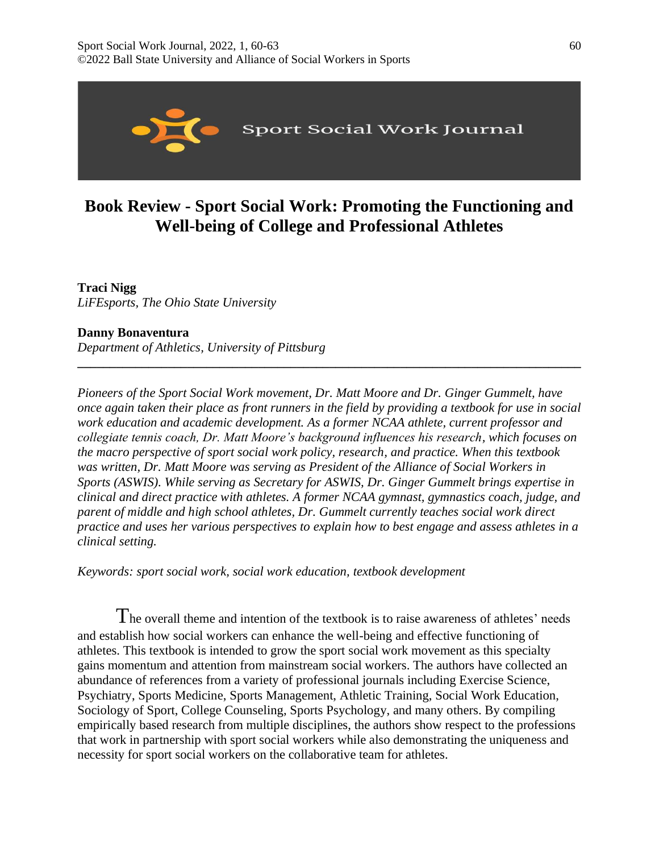

# **Book Review - Sport Social Work: Promoting the Functioning and Well-being of College and Professional Athletes**

## **Traci Nigg**

*LiFEsports, The Ohio State University* 

### **Danny Bonaventura**

*Department of Athletics, University of Pittsburg*

*Pioneers of the Sport Social Work movement, Dr. Matt Moore and Dr. Ginger Gummelt, have once again taken their place as front runners in the field by providing a textbook for use in social work education and academic development. As a former NCAA athlete, current professor and collegiate tennis coach, Dr. Matt Moore's background influences his research, which focuses on the macro perspective of sport social work policy, research, and practice. When this textbook was written, Dr. Matt Moore was serving as President of the Alliance of Social Workers in Sports (ASWIS). While serving as Secretary for ASWIS, Dr. Ginger Gummelt brings expertise in clinical and direct practice with athletes. A former NCAA gymnast, gymnastics coach, judge, and parent of middle and high school athletes, Dr. Gummelt currently teaches social work direct practice and uses her various perspectives to explain how to best engage and assess athletes in a clinical setting.* 

**\_\_\_\_\_\_\_\_\_\_\_\_\_\_\_\_\_\_\_\_\_\_\_\_\_\_\_\_\_\_\_\_\_\_\_\_\_\_\_\_\_\_\_\_\_\_\_\_\_\_\_\_\_\_\_\_\_\_\_\_\_\_\_\_\_\_\_\_\_\_\_\_\_\_\_\_\_\_**

*Keywords: sport social work, social work education, textbook development*

The overall theme and intention of the textbook is to raise awareness of athletes' needs and establish how social workers can enhance the well-being and effective functioning of athletes. This textbook is intended to grow the sport social work movement as this specialty gains momentum and attention from mainstream social workers. The authors have collected an abundance of references from a variety of professional journals including Exercise Science, Psychiatry, Sports Medicine, Sports Management, Athletic Training, Social Work Education, Sociology of Sport, College Counseling, Sports Psychology, and many others. By compiling empirically based research from multiple disciplines, the authors show respect to the professions that work in partnership with sport social workers while also demonstrating the uniqueness and necessity for sport social workers on the collaborative team for athletes.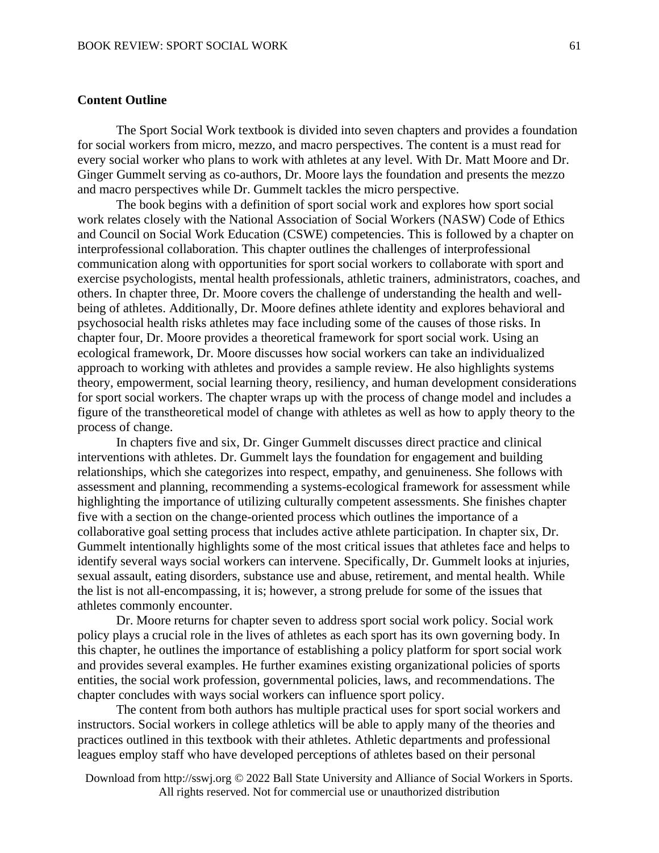#### **Content Outline**

The Sport Social Work textbook is divided into seven chapters and provides a foundation for social workers from micro, mezzo, and macro perspectives. The content is a must read for every social worker who plans to work with athletes at any level. With Dr. Matt Moore and Dr. Ginger Gummelt serving as co-authors, Dr. Moore lays the foundation and presents the mezzo and macro perspectives while Dr. Gummelt tackles the micro perspective.

The book begins with a definition of sport social work and explores how sport social work relates closely with the National Association of Social Workers (NASW) Code of Ethics and Council on Social Work Education (CSWE) competencies. This is followed by a chapter on interprofessional collaboration. This chapter outlines the challenges of interprofessional communication along with opportunities for sport social workers to collaborate with sport and exercise psychologists, mental health professionals, athletic trainers, administrators, coaches, and others. In chapter three, Dr. Moore covers the challenge of understanding the health and wellbeing of athletes. Additionally, Dr. Moore defines athlete identity and explores behavioral and psychosocial health risks athletes may face including some of the causes of those risks. In chapter four, Dr. Moore provides a theoretical framework for sport social work. Using an ecological framework, Dr. Moore discusses how social workers can take an individualized approach to working with athletes and provides a sample review. He also highlights systems theory, empowerment, social learning theory, resiliency, and human development considerations for sport social workers. The chapter wraps up with the process of change model and includes a figure of the transtheoretical model of change with athletes as well as how to apply theory to the process of change.

In chapters five and six, Dr. Ginger Gummelt discusses direct practice and clinical interventions with athletes. Dr. Gummelt lays the foundation for engagement and building relationships, which she categorizes into respect, empathy, and genuineness. She follows with assessment and planning, recommending a systems-ecological framework for assessment while highlighting the importance of utilizing culturally competent assessments. She finishes chapter five with a section on the change-oriented process which outlines the importance of a collaborative goal setting process that includes active athlete participation. In chapter six, Dr. Gummelt intentionally highlights some of the most critical issues that athletes face and helps to identify several ways social workers can intervene. Specifically, Dr. Gummelt looks at injuries, sexual assault, eating disorders, substance use and abuse, retirement, and mental health. While the list is not all-encompassing, it is; however, a strong prelude for some of the issues that athletes commonly encounter.

Dr. Moore returns for chapter seven to address sport social work policy. Social work policy plays a crucial role in the lives of athletes as each sport has its own governing body. In this chapter, he outlines the importance of establishing a policy platform for sport social work and provides several examples. He further examines existing organizational policies of sports entities, the social work profession, governmental policies, laws, and recommendations. The chapter concludes with ways social workers can influence sport policy.

The content from both authors has multiple practical uses for sport social workers and instructors. Social workers in college athletics will be able to apply many of the theories and practices outlined in this textbook with their athletes. Athletic departments and professional leagues employ staff who have developed perceptions of athletes based on their personal

Download from http://sswj.org © 2022 Ball State University and Alliance of Social Workers in Sports. All rights reserved. Not for commercial use or unauthorized distribution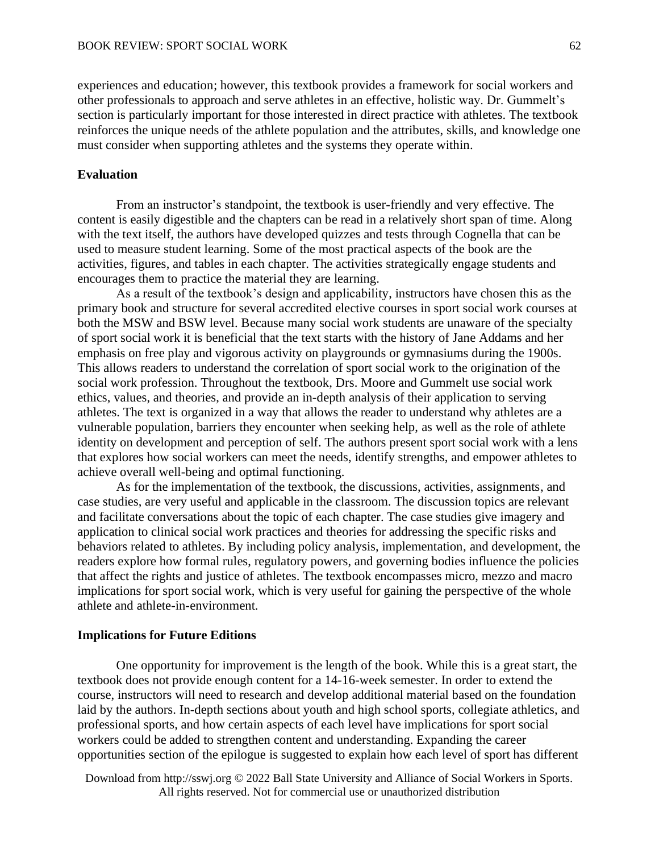experiences and education; however, this textbook provides a framework for social workers and other professionals to approach and serve athletes in an effective, holistic way. Dr. Gummelt's section is particularly important for those interested in direct practice with athletes. The textbook reinforces the unique needs of the athlete population and the attributes, skills, and knowledge one must consider when supporting athletes and the systems they operate within.

#### **Evaluation**

From an instructor's standpoint, the textbook is user-friendly and very effective. The content is easily digestible and the chapters can be read in a relatively short span of time. Along with the text itself, the authors have developed quizzes and tests through Cognella that can be used to measure student learning. Some of the most practical aspects of the book are the activities, figures, and tables in each chapter. The activities strategically engage students and encourages them to practice the material they are learning.

As a result of the textbook's design and applicability, instructors have chosen this as the primary book and structure for several accredited elective courses in sport social work courses at both the MSW and BSW level. Because many social work students are unaware of the specialty of sport social work it is beneficial that the text starts with the history of Jane Addams and her emphasis on free play and vigorous activity on playgrounds or gymnasiums during the 1900s. This allows readers to understand the correlation of sport social work to the origination of the social work profession. Throughout the textbook, Drs. Moore and Gummelt use social work ethics, values, and theories, and provide an in-depth analysis of their application to serving athletes. The text is organized in a way that allows the reader to understand why athletes are a vulnerable population, barriers they encounter when seeking help, as well as the role of athlete identity on development and perception of self. The authors present sport social work with a lens that explores how social workers can meet the needs, identify strengths, and empower athletes to achieve overall well-being and optimal functioning.

As for the implementation of the textbook, the discussions, activities, assignments, and case studies, are very useful and applicable in the classroom. The discussion topics are relevant and facilitate conversations about the topic of each chapter. The case studies give imagery and application to clinical social work practices and theories for addressing the specific risks and behaviors related to athletes. By including policy analysis, implementation, and development, the readers explore how formal rules, regulatory powers, and governing bodies influence the policies that affect the rights and justice of athletes. The textbook encompasses micro, mezzo and macro implications for sport social work, which is very useful for gaining the perspective of the whole athlete and athlete-in-environment.

#### **Implications for Future Editions**

One opportunity for improvement is the length of the book. While this is a great start, the textbook does not provide enough content for a 14-16-week semester. In order to extend the course, instructors will need to research and develop additional material based on the foundation laid by the authors. In-depth sections about youth and high school sports, collegiate athletics, and professional sports, and how certain aspects of each level have implications for sport social workers could be added to strengthen content and understanding. Expanding the career opportunities section of the epilogue is suggested to explain how each level of sport has different

Download from http://sswj.org © 2022 Ball State University and Alliance of Social Workers in Sports. All rights reserved. Not for commercial use or unauthorized distribution